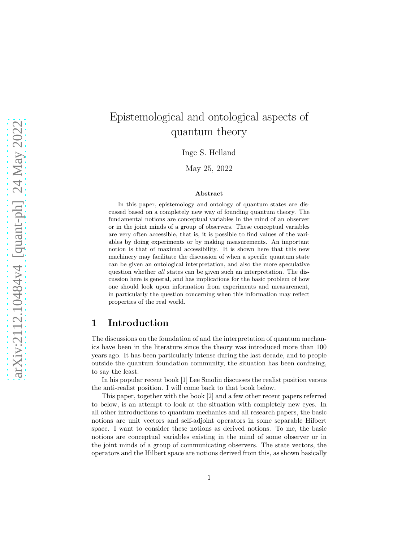# Epistemological and ontological aspects of quantum theory

Inge S. Helland

May 25, 2022

#### Abstract

In this paper, epistemology and ontology of quantum states are discussed based on a completely new way of founding quantum theory. The fundamental notions are conceptual variables in the mind of an observer or in the joint minds of a group of observers. These conceptual variables are very often accessible, that is, it is possible to find values of the variables by doing experiments or by making measurements. An important notion is that of maximal accessibility. It is shown here that this new machinery may facilitate the discussion of when a specific quantum state can be given an ontological interpretation, and also the more speculative question whether all states can be given such an interpretation. The discussion here is general, and has implications for the basic problem of how one should look upon information from experiments and measurement, in particularly the question concerning when this information may reflect properties of the real world.

### 1 Introduction

The discussions on the foundation of and the interpretation of quantum mechanics have been in the literature since the theory was introduced more than 100 years ago. It has been particularly intense during the last decade, and to people outside the quantum foundation community, the situation has been confusing, to say the least.

In his popular recent book [1] Lee Smolin discusses the realist position versus the anti-realist position. I will come back to that book below.

This paper, together with the book [2] and a few other recent papers referred to below, is an attempt to look at the situation with completely new eyes. In all other introductions to quantum mechanics and all research papers, the basic notions are unit vectors and self-adjoint operators in some separable Hilbert space. I want to consider these notions as derived notions. To me, the basic notions are conceptual variables existing in the mind of some observer or in the joint minds of a group of communicating observers. The state vectors, the operators and the Hilbert space are notions derived from this, as shown basically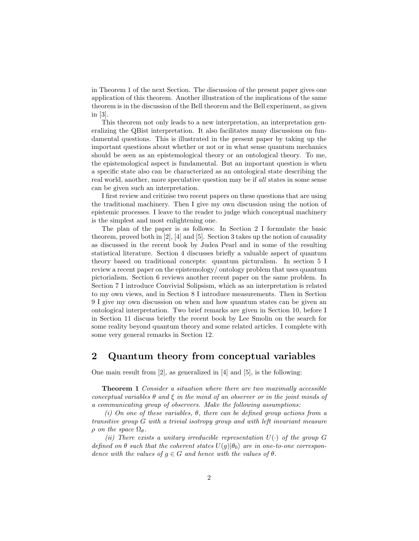in Theorem 1 of the next Section. The discussion of the present paper gives one application of this theorem. Another illustration of the implications of the same theorem is in the discussion of the Bell theorem and the Bell experiment, as given in [3].

This theorem not only leads to a new interpretation, an interpretation generalizing the QBist interpretation. It also facilitates many discussions on fundamental questions. This is illustrated in the present paper by taking up the important questions about whether or not or in what sense quantum mechanics should be seen as an epistemological theory or an ontological theory. To me, the epistemological aspect is fundamental. But an important question is when a specific state also can be characterized as an ontological state describing the real world, another, more speculative question may be if all states in some sense can be given such an interpretation.

I first review and critizise two recent papers on these questions that are using the traditional machinery. Then I give my own discussion using the notion of epistemic processes. I leave to the reader to judge which conceptual machinery is the simplest and most enlightening one.

The plan of the paper is as follows: In Section 2 I formulate the basic theorem, proved both in [2], [4] and [5]. Section 3 takes up the notion of causality as discussed in the recent book by Judea Pearl and in some of the resulting statistical literature. Section 4 discusses briefly a valuable aspect of quantum theory based on traditional concepts: quantum picturalism. In section 5 I review a recent paper on the epistemology/ ontology problem that uses quantum pictorialism. Section 6 reviews another recent paper on the same problem. In Section 7 I introduce Convivial Solipsism, which as an interpretation is related to my own views, and in Section 8 I introduce measurements. Then in Section 9 I give my own discussion on when and how quantum states can be given an ontological interpretation. Two brief remarks are given in Section 10, before I in Section 11 discuss briefly the recent book by Lee Smolin on the search for some reality beyond quantum theory and some related articles. I complete with some very general remarks in Section 12.

### 2 Quantum theory from conceptual variables

One main result from [2], as generalized in [4] and [5], is the following:

**Theorem 1** Consider a situation where there are two maximally accessible conceptual variables  $\theta$  and  $\xi$  in the mind of an observer or in the joint minds of a communicating group of observers. Make the following assumptions:

(i) On one of these variables,  $\theta$ , there can be defined group actions from a transitive group G with a trivial isotropy group and with left invariant measure  $\rho$  on the space  $\Omega_{\theta}$ .

(ii) There exists a unitary irreducible representation  $U(\cdot)$  of the group G defined on  $\theta$  such that the coherent states  $U(q)|\theta_0\rangle$  are in one-to-one correspondence with the values of  $g \in G$  and hence with the values of  $\theta$ .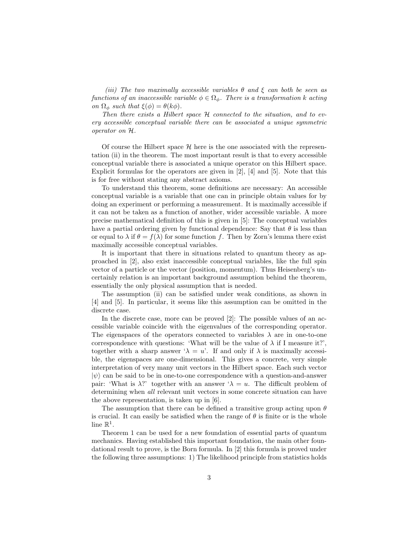(iii) The two maximally accessible variables  $\theta$  and  $\xi$  can both be seen as functions of an inaccessible variable  $\phi \in \Omega_{\phi}$ . There is a transformation k acting on  $\Omega_{\phi}$  such that  $\xi(\phi) = \theta(k\phi)$ .

Then there exists a Hilbert space H connected to the situation, and to every accessible conceptual variable there can be associated a unique symmetric operator on H.

Of course the Hilbert space  $\mathcal H$  here is the one associated with the representation (ii) in the theorem. The most important result is that to every accessible conceptual variable there is associated a unique operator on this Hilbert space. Explicit formulas for the operators are given in  $[2]$ ,  $[4]$  and  $[5]$ . Note that this is for free without stating any abstract axioms.

To understand this theorem, some definitions are necessary: An accessible conceptual variable is a variable that one can in principle obtain values for by doing an experiment or performing a measurement. It is maximally accessible if it can not be taken as a function of another, wider accessible variable. A more precise mathematical definition of this is given in [5]: The conceptual variables have a partial ordering given by functional dependence: Say that  $\theta$  is less than or equal to  $\lambda$  if  $\theta = f(\lambda)$  for some function f. Then by Zorn's lemma there exist maximally accessible conceptual variables.

It is important that there in situations related to quantum theory as approached in [2], also exist inaccessible conceptual variables, like the full spin vector of a particle or the vector (position, momentum). Thus Heisenberg's uncertainly relation is an important background assumption behind the theorem, essentially the only physical assumption that is needed.

The assumption (ii) can be satisfied under weak conditions, as shown in [4] and [5]. In particular, it seems like this assumption can be omitted in the discrete case.

In the discrete case, more can be proved [2]: The possible values of an accessible variable coincide with the eigenvalues of the corresponding operator. The eigenspaces of the operators connected to variables  $\lambda$  are in one-to-one correspondence with questions: 'What will be the value of  $\lambda$  if I measure it?', together with a sharp answer  $\lambda = u'$ . If and only if  $\lambda$  is maximally accessible, the eigenspaces are one-dimensional. This gives a concrete, very simple interpretation of very many unit vectors in the Hilbert space. Each such vector  $|\psi\rangle$  can be said to be in one-to-one correspondence with a question-and-answer pair: 'What is  $\lambda$ ?' together with an answer  $\lambda = u$ . The difficult problem of determining when all relevant unit vectors in some concrete situation can have the above representation, is taken up in [6].

The assumption that there can be defined a transitive group acting upon  $\theta$ is crucial. It can easily be satisfied when the range of  $\theta$  is finite or is the whole line  $\mathbb{R}^1$ .

Theorem 1 can be used for a new foundation of essential parts of quantum mechanics. Having established this important foundation, the main other foundational result to prove, is the Born formula. In [2] this formula is proved under the following three assumptions: 1) The likelihood principle from statistics holds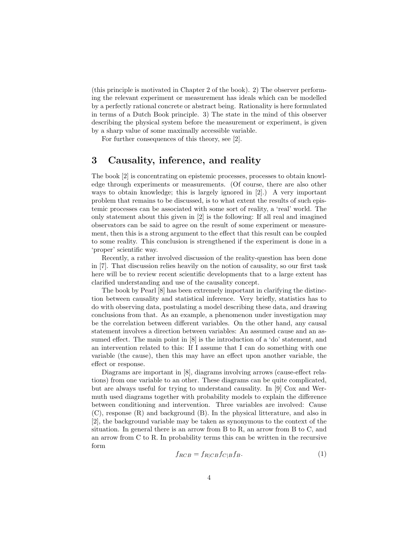(this principle is motivated in Chapter 2 of the book). 2) The observer performing the relevant experiment or measurement has ideals which can be modelled by a perfectly rational concrete or abstract being. Rationality is here formulated in terms of a Dutch Book principle. 3) The state in the mind of this observer describing the physical system before the measurement or experiment, is given by a sharp value of some maximally accessible variable.

For further consequences of this theory, see [2].

### 3 Causality, inference, and reality

The book [2] is concentrating on epistemic processes, processes to obtain knowledge through experiments or measurements. (Of course, there are also other ways to obtain knowledge; this is largely ignored in [2].) A very important problem that remains to be discussed, is to what extent the results of such epistemic processes can be associated with some sort of reality, a 'real' world. The only statement about this given in [2] is the following: If all real and imagined observators can be said to agree on the result of some experiment or measurement, then this is a strong argument to the effect that this result can be coupled to some reality. This conclusion is strengthened if the experiment is done in a 'proper' scientific way.

Recently, a rather involved discussion of the reality-question has been done in [7]. That discussion relies heavily on the notion of causality, so our first task here will be to review recent scientific developments that to a large extent has clarified understanding and use of the causality concept.

The book by Pearl [8] has been extremely important in clarifying the distinction between causality and statistical inference. Very briefly, statistics has to do with observing data, postulating a model describing these data, and drawing conclusions from that. As an example, a phenomenon under investigation may be the correlation between different variables. On the other hand, any causal statement involves a direction between variables: An assumed cause and an assumed effect. The main point in [8] is the introduction of a 'do' statement, and an intervention related to this: If I assume that I can do something with one variable (the cause), then this may have an effect upon another variable, the effect or response.

Diagrams are important in [8], diagrams involving arrows (cause-effect relations) from one variable to an other. These diagrams can be quite complicated, but are always useful for trying to understand causality. In [9] Cox and Wermuth used diagrams together with probability models to explain the difference between conditioning and intervention. Three variables are involved: Cause (C), response (R) and background (B). In the physical litterature, and also in [2], the background variable may be taken as synonymous to the context of the situation. In general there is an arrow from B to R, an arrow from B to C, and an arrow from C to R. In probability terms this can be written in the recursive form

<span id="page-3-0"></span>
$$
f_{RCB} = f_{R|CB} f_{C|B} f_B. \tag{1}
$$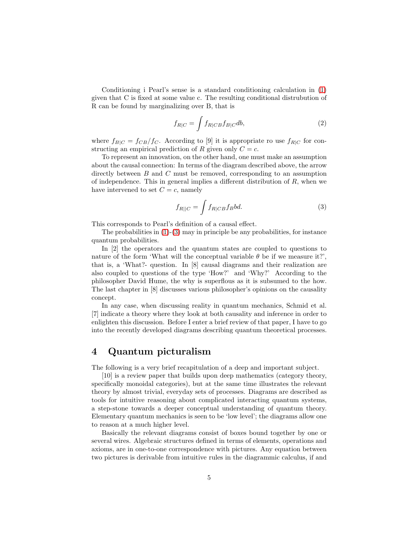Conditioning i Pearl's sense is a standard conditioning calculation in [\(1\)](#page-3-0) given that C is fixed at some value c. The resulting conditional distrubution of R can be found by marginalizing over B, that is

$$
f_{R|C} = \int f_{R|CB} f_{B|C} db,\tag{2}
$$

where  $f_{B|C} = f_{CB}/f_{C}$ . According to [9] it is appropriate ro use  $f_{R|C}$  for constructing an empirical prediction of R given only  $C = c$ .

To represent an innovation, on the other hand, one must make an assumption about the causal connection: In terms of the diagram described above, the arrow directly between B and C must be removed, corresponding to an assumption of independence. This in general implies a different distribution of  $R$ , when we have intervened to set  $C = c$ , namely

<span id="page-4-0"></span>
$$
f_{R||C} = \int f_{R|CB} f_B bd. \tag{3}
$$

This corresponds to Pearl's definition of a causal effect.

The probabilities in  $(1)-(3)$  $(1)-(3)$  may in principle be any probabilities, for instance quantum probabilities.

In [2] the operators and the quantum states are coupled to questions to nature of the form 'What will the conceptual variable  $\theta$  be if we measure it?', that is, a 'What?- question. In [8] causal diagrams and their realization are also coupled to questions of the type 'How?' and 'Why?' According to the philosopher David Hume, the why is superflous as it is subsumed to the how. The last chapter in [8] discusses various philosopher's opinions on the causality concept.

In any case, when discussing reality in quantum mechanics, Schmid et al. [7] indicate a theory where they look at both causality and inference in order to enlighten this discussion. Before I enter a brief review of that paper, I have to go into the recently developed diagrams describing quantum theoretical processes.

### 4 Quantum picturalism

The following is a very brief recapitulation of a deep and important subject.

[10] is a review paper that builds upon deep mathematics (category theory, specifically monoidal categories), but at the same time illustrates the relevant theory by almost trivial, everyday sets of processes. Diagrams are described as tools for intuitive reasoning about complicated interacting quantum systems, a step-stone towards a deeper conceptual understanding of quantum theory. Elementary quantum mechanics is seen to be 'low level'; the diagrams allow one to reason at a much higher level.

Basically the relevant diagrams consist of boxes bound together by one or several wires. Algebraic structures defined in terms of elements, operations and axioms, are in one-to-one correspondence with pictures. Any equation between two pictures is derivable from intuitive rules in the diagrammic calculus, if and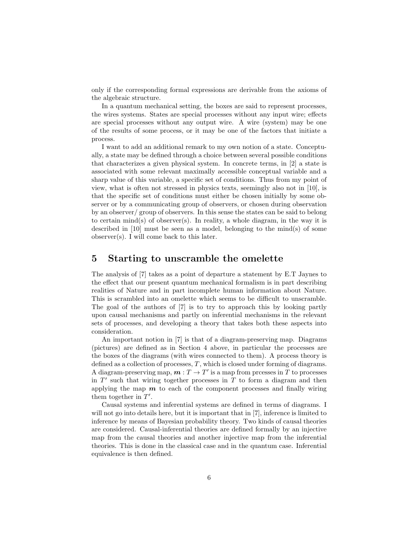only if the corresponding formal expressions are derivable from the axioms of the algebraic structure.

In a quantum mechanical setting, the boxes are said to represent processes, the wires systems. States are special processes without any input wire; effects are special processes without any output wire. A wire (system) may be one of the results of some process, or it may be one of the factors that initiate a process.

I want to add an additional remark to my own notion of a state. Conceptually, a state may be defined through a choice between several possible conditions that characterizes a given physical system. In concrete terms, in [2] a state is associated with some relevant maximally accessible conceptual variable and a sharp value of this variable, a specific set of conditions. Thus from my point of view, what is often not stressed in physics texts, seemingly also not in [10], is that the specific set of conditions must either be chosen initially by some observer or by a communicating group of observers, or chosen during observation by an observer/ group of observers. In this sense the states can be said to belong to certain  $mind(s)$  of observer(s). In reality, a whole diagram, in the way it is described in [10] must be seen as a model, belonging to the mind(s) of some observer(s). I will come back to this later.

### 5 Starting to unscramble the omelette

The analysis of [7] takes as a point of departure a statement by E.T Jaynes to the effect that our present quantum mechanical formalism is in part describing realities of Nature and in part incomplete human information about Nature. This is scrambled into an omelette which seems to be difficult to unscramble. The goal of the authors of [7] is to try to approach this by looking partly upon causal mechanisms and partly on inferential mechanisms in the relevant sets of processes, and developing a theory that takes both these aspects into consideration.

An important notion in [7] is that of a diagram-preserving map. Diagrams (pictures) are defined as in Section 4 above, in particular the processes are the boxes of the diagrams (with wires connected to them). A process theory is defined as a collection of processes,  $T$ , which is closed under forming of diagrams. A diagram-preserving map,  $m: T \to T'$  is a map from prcesses in T to processes in  $T'$  such that wiring together processes in  $T$  to form a diagram and then applying the map  $m$  to each of the component processes and finally wiring them together in  $T'$ .

Causal systems and inferential systems are defined in terms of diagrams. I will not go into details here, but it is important that in [7], inference is limited to inference by means of Bayesian probability theory. Two kinds of causal theories are considered. Causal-inferential theories are defined formally by an injective map from the causal theories and another injective map from the inferential theories. This is done in the classical case and in the quantum case. Inferential equivalence is then defined.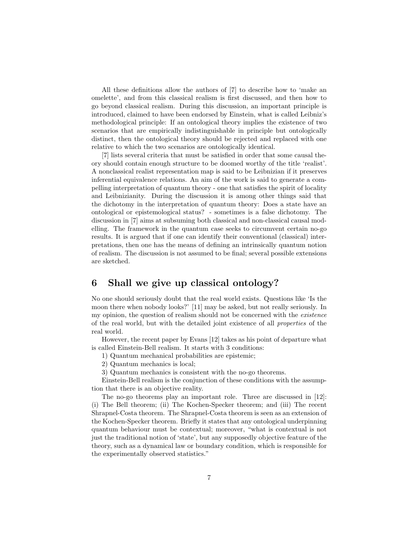All these definitions allow the authors of [7] to describe how to 'make an omelette', and from this classical realism is first discussed, and then how to go beyond classical realism. During this discussion, an important principle is introduced, claimed to have been endorsed by Einstein, what is called Leibniz's methodological principle: If an ontological theory implies the existence of two scenarios that are empirically indistinguishable in principle but ontologically distinct, then the ontological theory should be rejected and replaced with one relative to which the two scenarios are ontologically identical.

[7] lists several criteria that must be satisfied in order that some causal theory should contain enough structure to be doomed worthy of the title 'realist'. A nonclassical realist representation map is said to be Leibnizian if it preserves inferential equivalence relations. An aim of the work is said to generate a compelling interpretation of quantum theory - one that satisfies the spirit of locality and Leibnizianity. During the discussion it is among other things said that the dichotomy in the interpretation of quantum theory: Does a state have an ontological or epistemological status? - sometimes is a false dichotomy. The discussion in [7] aims at subsuming both classical and non-classical causal modelling. The framework in the quantum case seeks to circumvent certain no-go results. It is argued that if one can identify their conventional (classical) interpretations, then one has the means of defining an intrinsically quantum notion of realism. The discussion is not assumed to be final; several possible extensions are sketched.

# 6 Shall we give up classical ontology?

No one should seriously doubt that the real world exists. Questions like 'Is the moon there when nobody looks?' [11] may be asked, but not really seriously. In my opinion, the question of realism should not be concerned with the existence of the real world, but with the detailed joint existence of all properties of the real world.

However, the recent paper by Evans [12] takes as his point of departure what is called Einstein-Bell realism. It starts with 3 conditions:

1) Quantum mechanical probabilities are epistemic;

2) Quantum mechanics is local;

3) Quantum mechanics is consistent with the no-go theorems.

Einstein-Bell realism is the conjunction of these conditions with the assumption that there is an objective reality.

The no-go theorems play an important role. Three are discussed in [12]: (i) The Bell theorem; (ii) The Kochen-Specker theorem; and (iii) The recent Shrapnel-Costa theorem. The Shrapnel-Costa theorem is seen as an extension of the Kochen-Specker theorem. Briefly it states that any ontological underpinning quantum behaviour must be contextual; moreover, "what is contextual is not just the traditional notion of 'state', but any supposedly objective feature of the theory, such as a dynamical law or boundary condition, which is responsible for the experimentally observed statistics."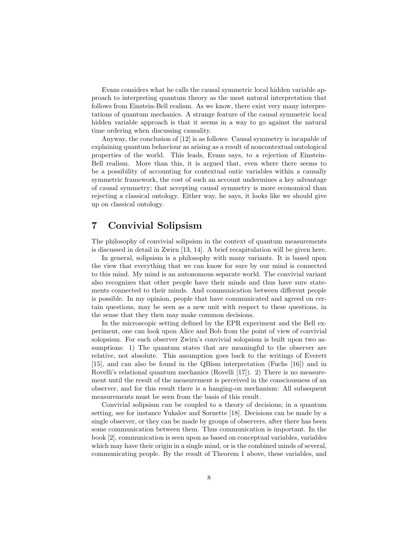Evans considers what he calls the causal symmetric local hidden variable approach to interpreting quantum theory as the most natural interpretation that follows from Einstein-Bell realism. As we know, there exist very many interpretations of quantum mechanics. A strange feature of the causal symmetric local hidden variable approach is that it seems in a way to go against the natural time ordering when discussing causality.

Anyway, the conclusion of [12] is as follows: Causal symmetry is incapable of explaining quantum behaviour as arising as a result of noncontextual ontological properties of the world. This leads, Evans says, to a rejection of Einstein-Bell realism. More than this, it is argued that, even where there seems to be a possibility of accounting for contextual ontic variables within a causally symmetric framework, the cost of such an account undermines a key advantage of causal symmetry; that accepting causal symmetry is more economical than rejecting a classical ontology. Either way, he says, it looks like we should give up on classical ontology.

### 7 Convivial Solipsism

The philosophy of convivial solipsism in the context of quantum measurements is discussed in detail in Zwirn [13, 14]. A brief recapitulation will be given here.

In general, solipsism is a philosophy with many variants. It is based upon the view that everything that we can know for sure by our mind is connected to this mind. My mind is an autonomous separate world. The convivial variant also recognizes that other people have their minds and thus have sure statements connected to their minds. And communication between different people is possible. In my opinion, people that have communicated and agreed on certain questions, may be seen as a new unit with respect to these questions, in the sense that they then may make common decisions.

In the microscopic setting defined by the EPR experiment and the Bell experiment, one can look upon Alice and Bob from the point of view of convivial solopsism. For each observer Zwirn's convivial solopsism is built upon two assumptions: 1) The quantum states that are meaningful to the observer are relative, not absolute. This assumption goes back to the writings of Everett [15], and can also be found in the QBism interpretation (Fuchs [16]) and in Rovelli's relational quantum mechanics (Rovelli [17]). 2) There is no measurement until the result of the measurement is perceived in the consciousness of an observer, and for this result there is a hanging-on mechanism: All subsequent measurements must be seen from the basis of this result.

Convivial solipsism can be coupled to a theory of decisions; in a quantum setting, see for instance Yukalov and Sornette [18]. Decisions can be made by a single observer, or they can be made by groups of observers, after there has been some communication between them. Thus communication is important. In the book [2], communication is seen upon as based on conceptual variables, variables which may have their origin in a single mind, or is the combined minds of several, communicating people. By the result of Theorem 1 above, these variables, and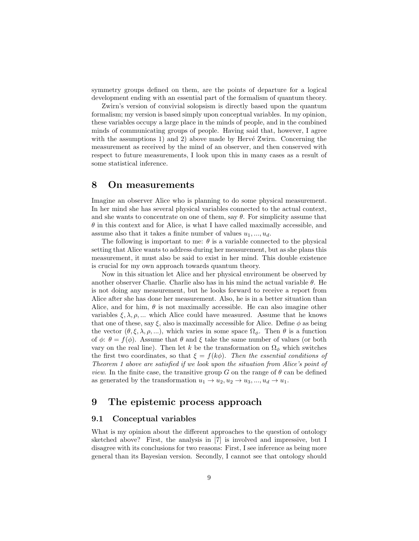symmetry groups defined on them, are the points of departure for a logical development ending with an essential part of the formalism of quantum theory.

Zwirn's version of convivial solopsism is directly based upon the quantum formalism; my version is based simply upon conceptual variables. In my opinion, these variables occupy a large place in the minds of people, and in the combined minds of communicating groups of people. Having said that, however, I agree with the assumptions 1) and 2) above made by Hervé Zwirn. Concerning the measurement as received by the mind of an observer, and then conserved with respect to future measurements, I look upon this in many cases as a result of some statistical inference.

### 8 On measurements

Imagine an observer Alice who is planning to do some physical measurement. In her mind she has several physical variables connected to the actual context, and she wants to concentrate on one of them, say  $\theta$ . For simplicity assume that  $\theta$  in this context and for Alice, is what I have called maximally accessible, and assume also that it takes a finite number of values  $u_1, \ldots, u_d$ .

The following is important to me:  $\theta$  is a variable connected to the physical setting that Alice wants to address during her measurement, but as she plans this measurement, it must also be said to exist in her mind. This double existence is crucial for my own approach towards quantum theory.

Now in this situation let Alice and her physical environment be observed by another observer Charlie. Charlie also has in his mind the actual variable  $\theta$ . He is not doing any measurement, but he looks forward to receive a report from Alice after she has done her measurement. Also, he is in a better situation than Alice, and for him,  $\theta$  is not maximally accessible. He can also imagine other variables  $\xi, \lambda, \rho, \dots$  which Alice could have measured. Assume that he knows that one of these, say  $\xi$ , also is maximally accessible for Alice. Define  $\phi$  as being the vector  $(\theta, \xi, \lambda, \rho, ...)$ , which varies in some space  $\Omega_{\phi}$ . Then  $\theta$  is a function of  $\phi$ :  $\theta = f(\phi)$ . Assume that  $\theta$  and  $\xi$  take the same number of values (or both vary on the real line). Then let k be the transformation on  $\Omega_{\phi}$  which switches the first two coordinates, so that  $\xi = f(k\phi)$ . Then the essential conditions of Theorem 1 above are satisfied if we look upon the situation from Alice's point of *view.* In the finite case, the transitive group G on the range of  $\theta$  can be defined as generated by the transformation  $u_1 \rightarrow u_2, u_2 \rightarrow u_3, ..., u_d \rightarrow u_1$ .

### 9 The epistemic process approach

#### 9.1 Conceptual variables

What is my opinion about the different approaches to the question of ontology sketched above? First, the analysis in [7] is involved and impressive, but I disagree with its conclusions for two reasons: First, I see inference as being more general than its Bayesian version. Secondly, I cannot see that ontology should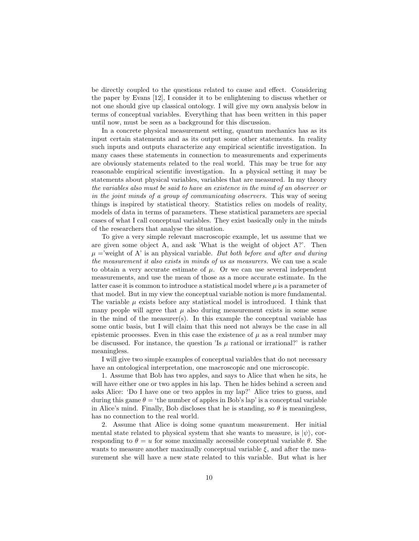be directly coupled to the questions related to cause and effect. Considering the paper by Evans [12], I consider it to be enlightening to discuss whether or not one should give up classical ontology. I will give my own analysis below in terms of conceptual variables. Everything that has been written in this paper until now, must be seen as a background for this discussion.

In a concrete physical measurement setting, quantum mechanics has as its input certain statements and as its output some other statements. In reality such inputs and outputs characterize any empirical scientific investigation. In many cases these statements in connection to measurements and experiments are obviously statements related to the real world. This may be true for any reasonable empirical scientific investigation. In a physical setting it may be statements about physical variables, variables that are measured. In my theory the variables also must be said to have an existence in the mind of an observer or in the joint minds of a group of communicating observers. This way of seeing things is inspired by statistical theory. Statistics relies on models of reality, models of data in terms of parameters. These statistical parameters are special cases of what I call conceptual variables. They exist basically only in the minds of the researchers that analyse the situation.

To give a very simple relevant macroscopic example, let us assume that we are given some object A, and ask 'What is the weight of object A?'. Then  $\mu$  ='weight of A' is an physical variable. But both before and after and during the measurement it also exists in minds of us as measurers. We can use a scale to obtain a very accurate estimate of  $\mu$ . Or we can use several independent measurements, and use the mean of those as a more accurate estimate. In the latter case it is common to introduce a statistical model where  $\mu$  is a parameter of that model. But in my view the conceptual variable notion is more fundamental. The variable  $\mu$  exists before any statistical model is introduced. I think that many people will agree that  $\mu$  also during measurement exists in some sense in the mind of the measurer(s). In this example the conceptual variable has some ontic basis, but I will claim that this need not always be the case in all epistemic processes. Even in this case the existence of  $\mu$  as a real number may be discussed. For instance, the question 'Is  $\mu$  rational or irrational?' is rather meaningless.

I will give two simple examples of conceptual variables that do not necessary have an ontological interpretation, one macroscopic and one microscopic.

1. Assume that Bob has two apples, and says to Alice that when he sits, he will have either one or two apples in his lap. Then he hides behind a screen and asks Alice: 'Do I have one or two apples in my lap?' Alice tries to guess, and during this game  $\theta =$  'the number of apples in Bob's lap' is a conceptual variable in Alice's mind. Finally, Bob discloses that he is standing, so  $\theta$  is meaningless, has no connection to the real world.

2. Assume that Alice is doing some quantum measurement. Her initial mental state related to physical system that she wants to measure, is  $|\psi\rangle$ , corresponding to  $\theta = u$  for some maximally accessible conceptual variable  $\theta$ . She wants to measure another maximally conceptual variable  $\xi$ , and after the measurement she will have a new state related to this variable. But what is her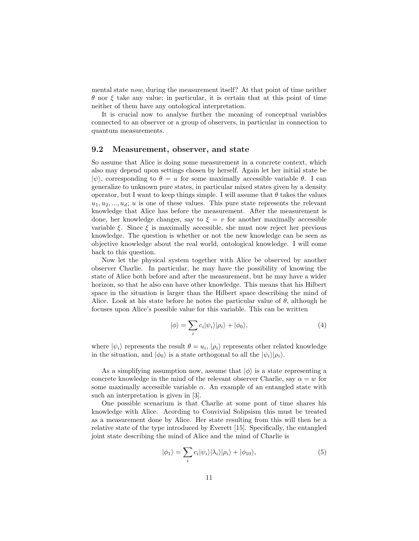mental state now, during the measurement itself? At that point of time neither θ nor ξ take any value; in particular, it is certain that at this point of time neither of them have any ontological interpretation.

It is crucial now to analyse further the meaning of conceptual variables connected to an observer or a group of observers, in particular in connection to quantum measurements.

#### 9.2 Measurement, observer, and state

So assume that Alice is doing some measurement in a concrete context, which also may depend upon settings chosen by herself. Again let her initial state be  $|\psi\rangle$ , corresponding to  $\theta = u$  for some maximally accessible variable  $\theta$ . I can generalize to unknown pure states, in particular mixed states given by a density operator, but I want to keep things simple. I will assume that  $\theta$  takes the values  $u_1, u_2, \ldots, u_d$ ; u is one of these values. This pure state represents the relevant knowledge that Alice has before the measurement. After the measurement is done, her knowledge changes, say to  $\xi = v$  for another maximally accessible variable  $\xi$ . Since  $\xi$  is maximally accessible, she must now reject her previous knowledge. The question is whether or not the new knowledge can be seen as objective knowledge about the real world, ontological knowledge. I will come back to this question.

Now let the physical system together with Alice be observed by another observer Charlie. In particular, he may have the possibility of knowing the state of Alice both before and after the measurement, but he may have a wider horizon, so that he also can have other knowledge. This means that his Hilbert space in the situation is larger than the Hilbert space describing the mind of Alice. Look at his state before he notes the particular value of  $\theta$ , although he focuses upon Alice's possible value for this variable. This can be written

$$
|\phi\rangle = \sum_{i} c_{i} |\psi_{i}\rangle |\rho_{i}\rangle + |\phi_{0}\rangle, \tag{4}
$$

where  $|\psi_i\rangle$  represents the result  $\theta = u_i, |\rho_i\rangle$  represents other related knowledge in the situation, and  $|\phi_0\rangle$  is a state orthogonal to all the  $|\psi_i\rangle|\rho_i\rangle$ .

As a simplifying assumption now, assume that  $|\phi\rangle$  is a state representing a concrete knowledge in the mind of the relevant observer Charlie, say  $\alpha = w$  for some maximally accessible variable  $\alpha$ . An example of an entangled state with such an interpretation is given in [3].

One possible scenarium is that Charlie at some pont of time shares his knowledge with Alice. Acording to Convivial Solipsism this must be treated as a measurement done by Alice. Her state resulting from this will then be a relative state of the type introduced by Everett [15]. Specifically, the entangled joint state describing the mind of Alice and the mind of Charlie is

$$
|\phi_1\rangle = \sum_i c_i |\psi_i\rangle |\lambda_i\rangle |\rho_i\rangle + |\phi_{10}\rangle,\tag{5}
$$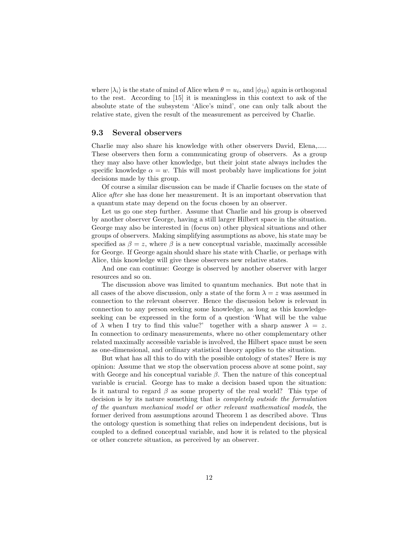where  $|\lambda_i\rangle$  is the state of mind of Alice when  $\theta = u_i$ , and  $|\phi_{10}\rangle$  again is orthogonal to the rest. According to [15] it is meaningless in this context to ask of the absolute state of the subsystem 'Alice's mind', one can only talk about the relative state, given the result of the measurement as perceived by Charlie.

#### 9.3 Several observers

Charlie may also share his knowledge with other observers David, Elena,..... These observers then form a communicating group of observers. As a group they may also have other knowledge, but their joint state always includes the specific knowledge  $\alpha = w$ . This will most probably have implications for joint decisions made by this group.

Of course a similar discussion can be made if Charlie focuses on the state of Alice after she has done her measurement. It is an important observation that a quantum state may depend on the focus chosen by an observer.

Let us go one step further. Assume that Charlie and his group is observed by another observer George, having a still larger Hilbert space in the situation. George may also be interested in (focus on) other physical situations and other groups of observers. Making simplifying assumptions as above, his state may be specified as  $\beta = z$ , where  $\beta$  is a new conceptual variable, maximally accessible for George. If George again should share his state with Charlie, or perhaps with Alice, this knowledge will give these observers new relative states.

And one can continue: George is observed by another observer with larger resources and so on.

The discussion above was limited to quantum mechanics. But note that in all cases of the above discussion, only a state of the form  $\lambda = z$  was assumed in connection to the relevant observer. Hence the discussion below is relevant in connection to any person seeking some knowledge, as long as this knowledgeseeking can be expressed in the form of a question 'What will be the value of  $\lambda$  when I try to find this value?' together with a sharp answer  $\lambda = z$ . In connection to ordinary measurements, where no other complementary other related maximally accessible variable is involved, the Hilbert space must be seen as one-dimensional, and ordinary statistical theory applies to the situation.

But what has all this to do with the possible ontology of states? Here is my opinion: Assume that we stop the observation process above at some point, say with George and his conceptual variable  $\beta$ . Then the nature of this conceptual variable is crucial. George has to make a decision based upon the situation: Is it natural to regard  $\beta$  as some property of the real world? This type of decision is by its nature something that is completely outside the formulation of the quantum mechanical model or other relevant mathematical models, the former derived from assumptions around Theorem 1 as described above. Thus the ontology question is something that relies on independent decisions, but is coupled to a defined conceptual variable, and how it is related to the physical or other concrete situation, as perceived by an observer.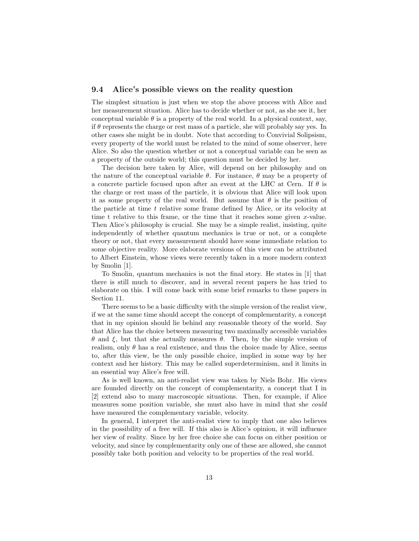#### 9.4 Alice's possible views on the reality question

The simplest situation is just when we stop the above process with Alice and her measurement situation. Alice has to decide whether or not, as she see it, her conceptual variable  $\theta$  is a property of the real world. In a physical context, say, if  $\theta$  represents the charge or rest mass of a particle, she will probably say yes. In other cases she might be in doubt. Note that according to Convivial Solipsism, every property of the world must be related to the mind of some observer, here Alice. So also the question whether or not a conceptual variable can be seen as a property of the outside world; this question must be decided by her.

The decision here taken by Alice, will depend on her philosophy and on the nature of the conceptual variable  $\theta$ . For instance,  $\theta$  may be a property of a concrete particle focused upon after an event at the LHC at Cern. If  $\theta$  is the charge or rest mass of the particle, it is obvious that Alice will look upon it as some property of the real world. But assume that  $\theta$  is the position of the particle at time  $t$  relative some frame defined by Alice, or its velocity at time t relative to this frame, or the time that it reaches some given  $x$ -value. Then Alice's philosophy is crucial. She may be a simple realist, insisting, quite independently of whether quantum mechanics is true or not, or a complete theory or not, that every measurement should have some immediate relation to some objective reality. More elaborate versions of this view can be attributed to Albert Einstein, whose views were recently taken in a more modern context by Smolin [1].

To Smolin, quantum mechanics is not the final story. He states in [1] that there is still much to discover, and in several recent papers he has tried to elaborate on this. I will come back with some brief remarks to these papers in Section 11.

There seems to be a basic difficulty with the simple version of the realist view, if we at the same time should accept the concept of complementarity, a concept that in my opinion should lie behind any reasonable theory of the world. Say that Alice has the choice between measuring two maximally accessible variables θ and ξ, but that she actually measures θ. Then, by the simple version of realism, only  $\theta$  has a real existence, and thus the choice made by Alice, seems to, after this view, be the only possible choice, implied in some way by her context and her history. This may be called superdeterminism, and it limits in an essential way Alice's free will.

As is well known, an anti-realist view was taken by Niels Bohr. His views are founded directly on the concept of complementarity, a concept that I in [2] extend also to many macroscopic situations. Then, for example, if Alice measures some position variable, she must also have in mind that she could have measured the complementary variable, velocity.

In general, I interpret the anti-realist view to imply that one also believes in the possibility of a free will. If this also is Alice's opinion, it will influence her view of reality. Since by her free choice she can focus on either position or velocity, and since by complementarity only one of these are allowed, she cannot possibly take both position and velocity to be properties of the real world.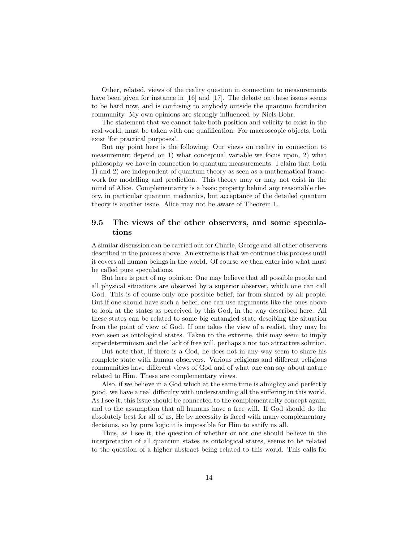Other, related, views of the reality question in connection to measurements have been given for instance in [16] and [17]. The debate on these issues seems to be hard now, and is confusing to anybody outside the quantum foundation community. My own opinions are strongly influenced by Niels Bohr.

The statement that we cannot take both position and velicity to exist in the real world, must be taken with one qualification: For macroscopic objects, both exist 'for practical purposes'.

But my point here is the following: Our views on reality in connection to measurement depend on 1) what conceptual variable we focus upon, 2) what philosophy we have in connection to quantum measurements. I claim that both 1) and 2) are independent of quantum theory as seen as a mathematical framework for modelling and prediction. This theory may or may not exist in the mind of Alice. Complementarity is a basic property behind any reasonable theory, in particular quantum mechanics, but acceptance of the detailed quantum theory is another issue. Alice may not be aware of Theorem 1.

### 9.5 The views of the other observers, and some speculations

A similar discussion can be carried out for Charle, George and all other observers described in the process above. An extreme is that we continue this process until it covers all human beings in the world. Of course we then enter into what must be called pure speculations.

But here is part of my opinion: One may believe that all possible people and all physical situations are observed by a superior observer, which one can call God. This is of course only one possible belief, far from shared by all people. But if one should have such a belief, one can use arguments like the ones above to look at the states as perceived by this God, in the way described here. All these states can be related to some big entangled state descibing the situation from the point of view of God. If one takes the view of a realist, they may be even seen as ontological states. Taken to the extreme, this may seem to imply superdeterminism and the lack of free will, perhaps a not too attractive solution.

But note that, if there is a God, he does not in any way seem to share his complete state with human observers. Various religions and different religious communities have different views of God and of what one can say about nature related to Him. These are complementary views.

Also, if we believe in a God which at the same time is almighty and perfectly good, we have a real difficulty with understanding all the suffering in this world. As I see it, this issue should be connected to the complementarity concept again, and to the assumption that all humans have a free will. If God should do the absolutely best for all of us, He by necessity is faced with many complementary decisions, so by pure logic it is impossible for Him to satify us all.

Thus, as I see it, the question of whether or not one should believe in the interpretation of all quantum states as ontological states, seems to be related to the question of a higher abstract being related to this world. This calls for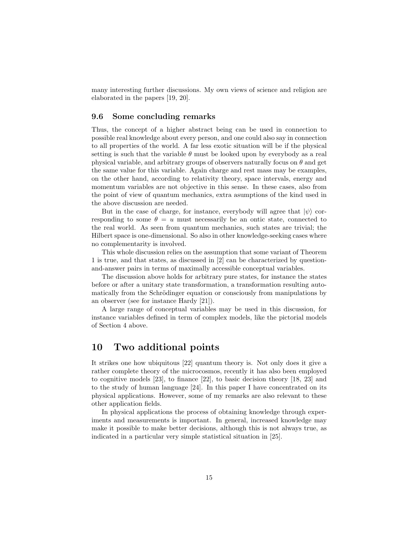many interesting further discussions. My own views of science and religion are elaborated in the papers [19, 20].

#### 9.6 Some concluding remarks

Thus, the concept of a higher abstract being can be used in connection to possible real knowledge about every person, and one could also say in connection to all properties of the world. A far less exotic situation will be if the physical setting is such that the variable  $\theta$  must be looked upon by everybody as a real physical variable, and arbitrary groups of observers naturally focus on  $\theta$  and get the same value for this variable. Again charge and rest mass may be examples, on the other hand, according to relativity theory, space intervals, energy and momentum variables are not objective in this sense. In these cases, also from the point of view of quantum mechanics, extra asumptions of the kind used in the above discussion are needed.

But in the case of charge, for instance, everybody will agree that  $|\psi\rangle$  corresponding to some  $\theta = u$  must necessarily be an ontic state, connected to the real world. As seen from quantum mechanics, such states are trivial; the Hilbert space is one-dimensional. So also in other knowledge-seeking cases where no complementarity is involved.

This whole discussion relies on the assumption that some variant of Theorem 1 is true, and that states, as discussed in [2] can be characterized by questionand-answer pairs in terms of maximally accessible conceptual variables.

The discussion above holds for arbitrary pure states, for instance the states before or after a unitary state transformation, a transformation resulting automatically from the Schrödinger equation or consciously from manipulations by an observer (see for instance Hardy [21]).

A large range of conceptual variables may be used in this discussion, for instance variables defined in term of complex models, like the pictorial models of Section 4 above.

### 10 Two additional points

It strikes one how ubiquitous [22] quantum theory is. Not only does it give a rather complete theory of the microcosmos, recently it has also been employed to cognitive models [23], to finance [22], to basic decision theory [18, 23] and to the study of human language [24]. In this paper I have concentrated on its physical applications. However, some of my remarks are also relevant to these other application fields.

In physical applications the process of obtaining knowledge through experiments and measurements is important. In general, increased knowledge may make it possible to make better decisions, although this is not always true, as indicated in a particular very simple statistical situation in [25].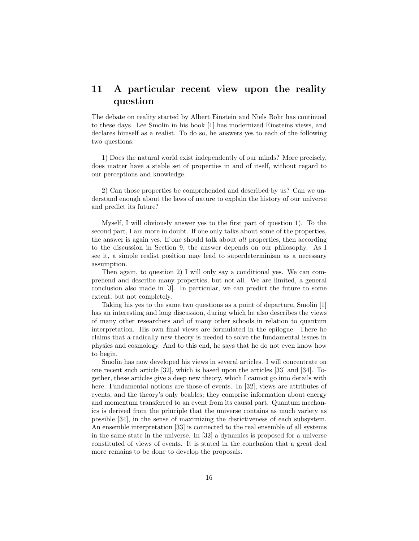## 11 A particular recent view upon the reality question

The debate on reality started by Albert Einstein and Niels Bohr has continued to these days. Lee Smolin in his book [1] has modernized Einsteins views, and declares himself as a realist. To do so, he answers yes to each of the following two questions:

1) Does the natural world exist independently of our minds? More precisely, does matter have a stable set of properties in and of itself, without regard to our perceptions and knowledge.

2) Can those properties be comprehended and described by us? Can we understand enough about the laws of nature to explain the history of our universe and predict its future?

Myself, I will obviously answer yes to the first part of question 1). To the second part, I am more in doubt. If one only talks about some of the properties, the answer is again yes. If one should talk about all properties, then according to the discussion in Section 9, the answer depends on our philosophy. As I see it, a simple realist position may lead to superdeterminism as a necessary assumption.

Then again, to question 2) I will only say a conditional yes. We can comprehend and describe many properties, but not all. We are limited, a general conclusion also made in [3]. In particular, we can predict the future to some extent, but not completely.

Taking his yes to the same two questions as a point of departure, Smolin [1] has an interesting and long discussion, during which he also describes the views of many other researchers and of many other schools in relation to quantum interpretation. His own final views are formulated in the epilogue. There he claims that a radically new theory is needed to solve the fundamental issues in physics and cosmology. And to this end, he says that he do not even know how to begin.

Smolin has now developed his views in several articles. I will concentrate on one recent such article [32], which is based upon the articles [33] and [34]. Together, these articles give a deep new theory, which I cannot go into details with here. Fundamental notions are those of events. In [32], views are attributes of events, and the theory's only beables; they comprise information about energy and momentum transferred to an event from its causal part. Quantum mechanics is derived from the principle that the universe contains as much variety as possible [34], in the sense of maximizing the distictiveness of each subsystem. An ensemble interpretation [33] is connected to the real ensemble of all systems in the same state in the universe. In [32] a dynamics is proposed for a universe constituted of views of events. It is stated in the conclusion that a great deal more remains to be done to develop the proposals.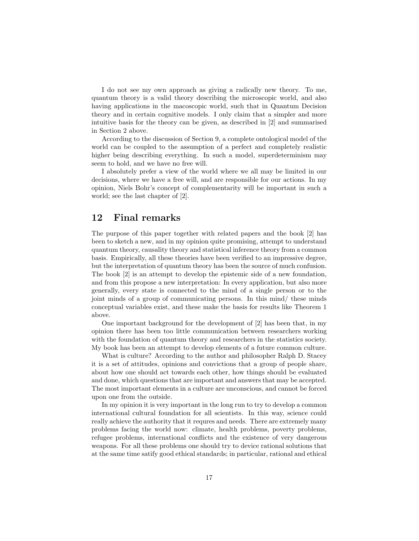I do not see my own approach as giving a radically new theory. To me, quantum theory is a valid theory describing the microscopic world, and also having applications in the macoscopic world, such that in Quantum Decision theory and in certain cognitive models. I only claim that a simpler and more intuitive basis for the theory can be given, as described in [2] and summarised in Section 2 above.

According to the discussion of Section 9, a complete ontological model of the world can be coupled to the assumption of a perfect and completely realistic higher being describing everything. In such a model, superdeterminism may seem to hold, and we have no free will.

I absolutely prefer a view of the world where we all may be limited in our decisions, where we have a free will, and are responsible for our actions. In my opinion, Niels Bohr's concept of complementarity will be important in such a world; see the last chapter of [2].

### 12 Final remarks

The purpose of this paper together with related papers and the book [2] has been to sketch a new, and in my opinion quite promising, attempt to understand quantum theory, causality theory and statistical inference theory from a common basis. Empirically, all these theories have been verified to an impressive degree, but the interpretation of quantum theory has been the source of much confusion. The book [2] is an attempt to develop the epistemic side of a new foundation, and from this propose a new interpretation: In every application, but also more generally, every state is connected to the mind of a single person or to the joint minds of a group of communicating persons. In this mind/ these minds conceptual variables exist, and these make the basis for results like Theorem 1 above.

One important background for the development of [2] has been that, in my opinion there has been too little communication between researchers working with the foundation of quantum theory and researchers in the statistics society. My book has been an attempt to develop elements of a future common culture.

What is culture? According to the author and philosopher Ralph D. Stacey it is a set of attitudes, opinions and convictions that a group of people share, about how one should act towards each other, how things should be evaluated and done, which questions that are important and answers that may be accepted. The most important elements in a culture are unconscious, and cannot be forced upon one from the outside.

In my opinion it is very important in the long run to try to develop a common international cultural foundation for all scientists. In this way, science could really achieve the authority that it requres and needs. There are extremely many problems facing the world now: climate, health problems, poverty problems, refugee problems, international conflicts and the existence of very dangerous weapons. For all these problems one should try to device rational solutions that at the same time satify good ethical standards; in particular, rational and ethical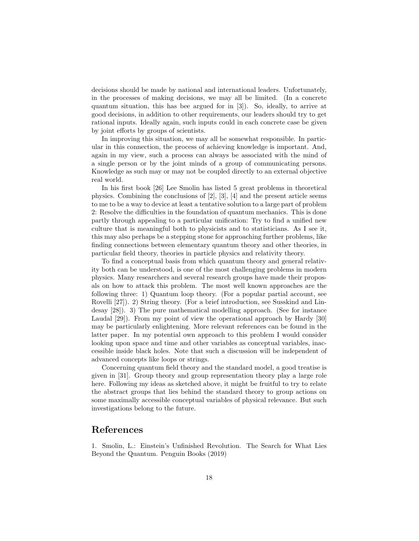decisions should be made by national and international leaders. Unfortunately, in the processes of making decisions, we may all be limited. (In a concrete quantum situation, this has bee argued for in [3]). So, ideally, to arrive at good decisions, in addition to other requirements, our leaders should try to get rational inputs. Ideally again, such inputs could in each concrete case be given by joint efforts by groups of scientists.

In improving this situation, we may all be somewhat responsible. In particular in this connection, the process of achieving knowledge is important. And, again in my view, such a process can always be associated with the mind of a single person or by the joint minds of a group of communicating persons. Knowledge as such may or may not be coupled directly to an external objective real world.

In his first book [26] Lee Smolin has listed 5 great problems in theoretical physics. Combining the conclusions of  $[2]$ ,  $[3]$ ,  $[4]$  and the present article seems to me to be a way to device at least a tentative solution to a large part of problem 2: Resolve the difficulties in the foundation of quantum mechanics. This is done partly through appealing to a particular unification: Try to find a unified new culture that is meaningful both to physicists and to statisticians. As I see it, this may also perhaps be a stepping stone for approaching further problems, like finding connections between elementary quantum theory and other theories, in particular field theory, theories in particle physics and relativity theory.

To find a conceptual basis from which quantum theory and general relativity both can be understood, is one of the most challenging problems in modern physics. Many researchers and several research groups have made their proposals on how to attack this problem. The most well known approaches are the following three: 1) Quantum loop theory. (For a popular partial account, see Rovelli [27]). 2) String theory. (For a brief introduction, see Susskind and Lindesay [28]). 3) The pure mathematical modelling approach. (See for instance Laudal [29]). From my point of view the operational approach by Hardy [30] may be particularly enlightening. More relevant references can be found in the latter paper. In my potential own approach to this problem I would consider looking upon space and time and other variables as conceptual variables, inaccessible inside black holes. Note that such a discussion will be independent of advanced concepts like loops or strings.

Concerning quantum field theory and the standard model, a good treatise is given in [31]. Group theory and group representation theory play a large role here. Following my ideas as sketched above, it might be fruitful to try to relate the abstract groups that lies behind the standard theory to group actions on some maximally accessible conceptual variables of physical relevance. But such investigations belong to the future.

### References

1. Smolin, L.: Einstein's Unfinished Revolution. The Search for What Lies Beyond the Quantum. Penguin Books (2019)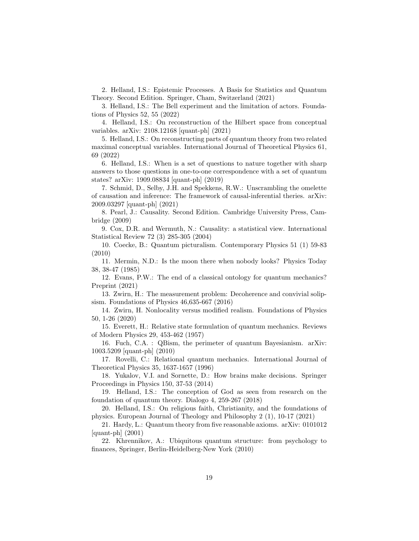2. Helland, I.S.: Epistemic Processes. A Basis for Statistics and Quantum Theory. Second Edition. Springer, Cham, Switzerland (2021)

3. Helland, I.S.: The Bell experiment and the limitation of actors. Foundations of Physics 52, 55 (2022)

4. Helland, I.S.: On reconstruction of the Hilbert space from conceptual variables. arXiv: 2108.12168 [quant-ph] (2021)

5. Helland, I.S.: On reconstructing parts of quantum theory from two related maximal conceptual variables. International Journal of Theoretical Physics 61, 69 (2022)

6. Helland, I.S.: When is a set of questions to nature together with sharp answers to those questions in one-to-one correspondence with a set of quantum states? arXiv: 1909.08834 [quant-ph] (2019)

7. Schmid, D., Selby, J.H. and Spekkens, R.W.: Unscrambling the omelette of causation and inference: The framework of causal-inferential theries. arXiv: 2009.03297 [quant-ph] (2021)

8. Pearl, J.: Causality. Second Edition. Cambridge University Press, Cambridge (2009)

9. Cox, D.R. and Wermuth, N.: Causality: a statistical view. International Statistical Review 72 (3) 285-305 (2004)

10. Coecke, B.: Quantum picturalism. Contemporary Physics 51 (1) 59-83 (2010)

11. Mermin, N.D.: Is the moon there when nobody looks? Physics Today 38, 38-47 (1985)

12. Evans, P.W.: The end of a classical ontology for quantum mechanics? Preprint (2021)

13. Zwirn, H.: The measurement problem: Decoherence and convivial solipsism. Foundations of Physics 46,635-667 (2016)

14. Zwirn, H. Nonlocality versus modified realism. Foundations of Physics 50, 1-26 (2020)

15. Everett, H.: Relative state formulation of quantum mechanics. Reviews of Modern Physics 29, 453-462 (1957)

16. Fuch, C.A. : QBism, the perimeter of quantum Bayesianism. arXiv: 1003.5209 [quant-ph] (2010)

17. Rovelli, C.: Relational quantum mechanics. International Journal of Theoretical Physics 35, 1637-1657 (1996)

18. Yukalov, V.I. and Sornette, D.: How brains make decisions. Springer Proceedings in Physics 150, 37-53 (2014)

19. Helland, I.S.: The conception of God as seen from research on the foundation of quantum theory. Dialogo 4, 259-267 (2018)

20. Helland, I.S.: On religious faith, Christianity, and the foundations of physics. European Journal of Theology and Philosophy 2 (1), 10-17 (2021)

21. Hardy, L.: Quantum theory from five reasonable axioms. arXiv: 0101012 [quant-ph] (2001)

22. Khrennikov, A.: Ubiquitous quantum structure: from psychology to finances, Springer, Berlin-Heidelberg-New York (2010)